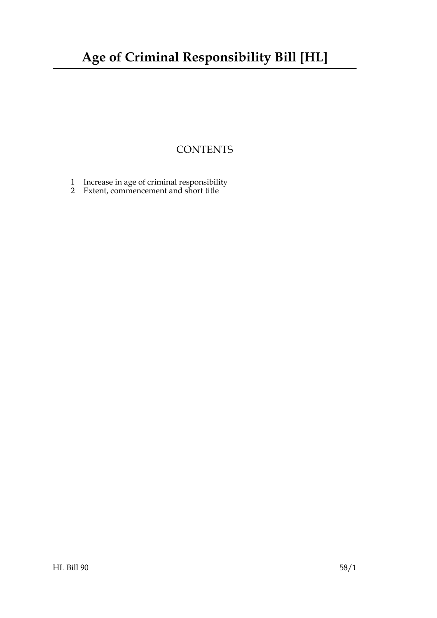### **Age of Criminal Responsibility Bill [HL]**

### **CONTENTS**

- [1 Increase in age of criminal responsibility](#page-2-0)
- 2 [Extent, commencement and short title](#page-2-1)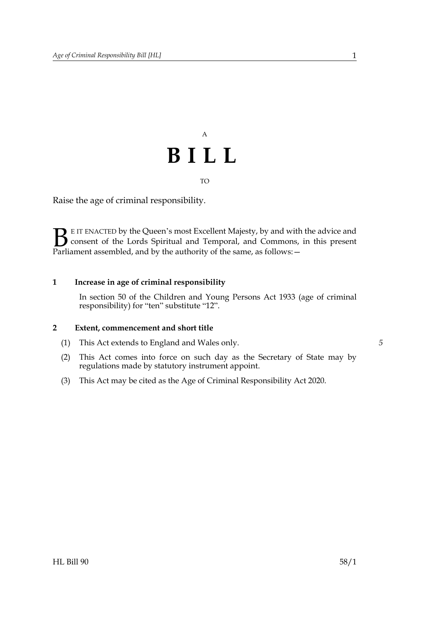## A **BILL** TO

Raise the age of criminal responsibility.

E IT ENACTED by the Queen's most Excellent Majesty, by and with the advice and consent of the Lords Spiritual and Temporal, and Commons, in this present Parliament assembled, and by the authority of the same, as follows: - $\mathbf{B}_{\text{rel}}$ 

#### **1 Increase in age of criminal responsibility**

<span id="page-2-1"></span><span id="page-2-0"></span>In section 50 of the Children and Young Persons Act 1933 (age of criminal responsibility) for "ten" substitute "12".

#### **2 Extent, commencement and short title**

- (1) This Act extends to England and Wales only.
- (2) This Act comes into force on such day as the Secretary of State may by regulations made by statutory instrument appoint.
- (3) This Act may be cited as the Age of Criminal Responsibility Act 2020.

*5*